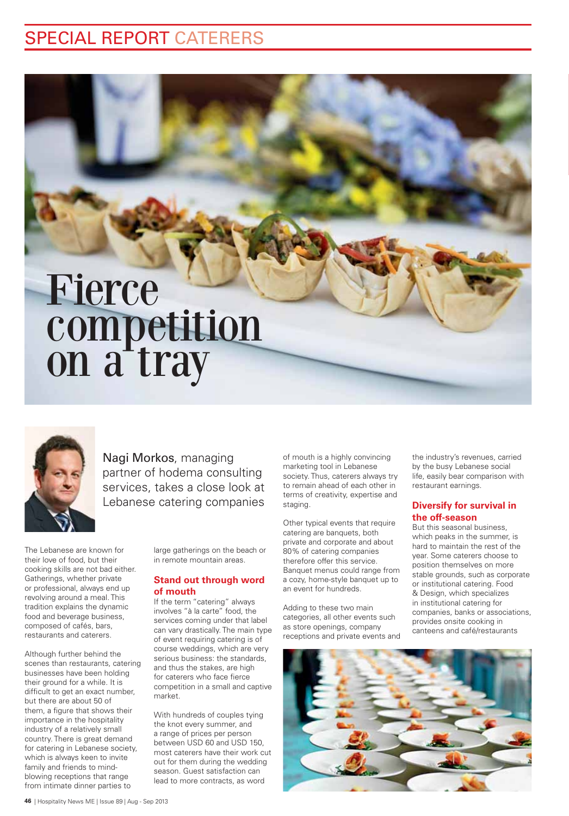# SPECIAL REPORT CATERERS

# Fierce competition on a tray



Nagi Morkos, managing partner of hodema consulting services, takes a close look at Lebanese catering companies

The Lebanese are known for their love of food, but their cooking skills are not bad either. Gatherings, whether private or professional, always end up revolving around a meal. This tradition explains the dynamic food and beverage business, composed of cafés, bars, restaurants and caterers.

Although further behind the scenes than restaurants, catering businesses have been holding their ground for a while. It is difficult to get an exact number, but there are about 50 of them, a figure that shows their importance in the hospitality industry of a relatively small country. There is great demand for catering in Lebanese society, which is always keen to invite family and friends to mindblowing receptions that range from intimate dinner parties to

large gatherings on the beach or in remote mountain areas.

#### **Stand out through word of mouth**

If the term "catering" always involves "à la carte" food, the services coming under that label can vary drastically. The main type of event requiring catering is of course weddings, which are very serious business: the standards, and thus the stakes, are high for caterers who face fierce competition in a small and captive market.

With hundreds of couples tying the knot every summer, and a range of prices per person between USD 60 and USD 150, most caterers have their work cut out for them during the wedding season. Guest satisfaction can lead to more contracts, as word

of mouth is a highly convincing marketing tool in Lebanese society. Thus, caterers always try to remain ahead of each other in terms of creativity, expertise and staging.

Other typical events that require catering are banquets, both private and corporate and about 80% of catering companies therefore offer this service. Banquet menus could range from a cozy, home-style banquet up to an event for hundreds.

Adding to these two main categories, all other events such as store openings, company receptions and private events and

the industry's revenues, carried by the busy Lebanese social life, easily bear comparison with restaurant earnings.

#### **Diversify for survival in the off-season**

But this seasonal business, which peaks in the summer, is hard to maintain the rest of the year. Some caterers choose to position themselves on more stable grounds, such as corporate or institutional catering. Food & Design, which specializes in institutional catering for companies, banks or associations, provides onsite cooking in canteens and café/restaurants

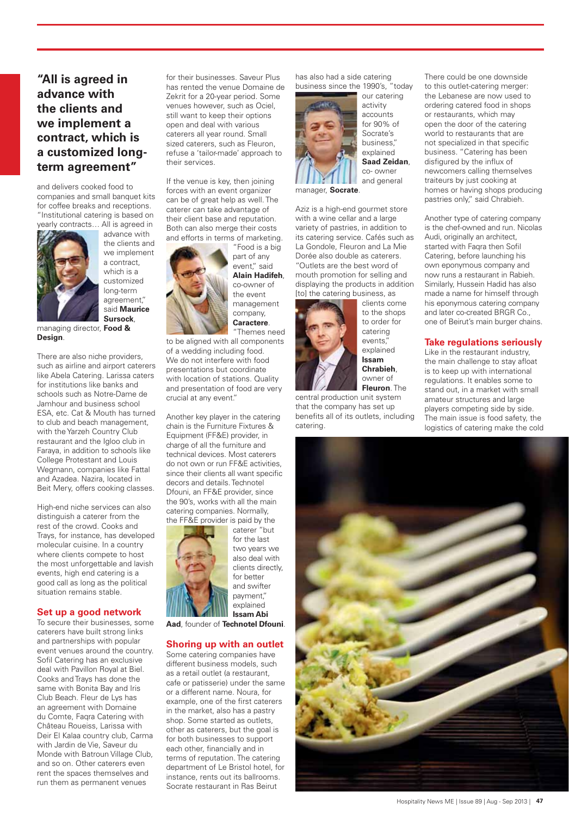## **"All is agreed in advance with the clients and we implement a contract, which is a customized longterm agreement"**

and delivers cooked food to companies and small banquet kits for coffee breaks and receptions. "Institutional catering is based on yearly contracts… All is agreed in

advance with the clients and we implement a contract, which is a customized long-term agreement," said **Maurice** 



**Sursock**, managing director, **Food & Design**.

There are also niche providers, such as airline and airport caterers like Abela Catering. Larissa caters for institutions like banks and schools such as Notre-Dame de Jamhour and business school ESA, etc. Cat & Mouth has turned to club and beach management, with the Yarzeh Country Club restaurant and the Igloo club in Faraya, in addition to schools like College Protestant and Louis Wegmann, companies like Fattal and Azadea. Nazira, located in Beit Mery, offers cooking classes.

High-end niche services can also distinguish a caterer from the rest of the crowd. Cooks and Trays, for instance, has developed molecular cuisine. In a country where clients compete to host the most unforgettable and lavish events, high end catering is a good call as long as the political situation remains stable.

#### **Set up a good network**

To secure their businesses, some caterers have built strong links and partnerships with popular event venues around the country. Sofil Catering has an exclusive deal with Pavillon Royal at Biel. Cooks and Trays has done the same with Bonita Bay and Iris Club Beach. Fleur de Lys has an agreement with Domaine du Comte, Faqra Catering with Château Roueiss, Larissa with Deir El Kalaa country club, Carma with Jardin de Vie, Saveur du Monde with Batroun Village Club, and so on. Other caterers even rent the spaces themselves and run them as permanent venues

for their businesses. Saveur Plus has rented the venue Domaine de Zekrit for a 20-year period. Some venues however, such as Ociel, still want to keep their options open and deal with various caterers all year round. Small sized caterers, such as Fleuron, refuse a 'tailor-made' approach to their services.

If the venue is key, then joining forces with an event organizer can be of great help as well. The caterer can take advantage of their client base and reputation. Both can also merge their costs and efforts in terms of marketing.



"Food is a big part of any event," said **Alain Hadifeh**, co-owner of the event management company, **Caractere**. "Themes need

to be aligned with all components of a wedding including food. We do not interfere with food presentations but coordinate with location of stations. Quality and presentation of food are very crucial at any event."

Another key player in the catering chain is the Furniture Fixtures & Equipment (FF&E) provider, in charge of all the furniture and technical devices. Most caterers do not own or run FF&E activities, since their clients all want specific decors and details. Technotel Dfouni, an FF&E provider, since the 90's, works with all the main catering companies. Normally,



caterer "but for the last two years we also deal with clients directly, for better and swifter payment," explained **Issam Abi** 

**Aad**, founder of **Technotel Dfouni**.

#### **Shoring up with an outlet**

Some catering companies have different business models, such as a retail outlet (a restaurant) cafe or patisserie) under the same or a different name. Noura, for example, one of the first caterers in the market, also has a pastry shop. Some started as outlets, other as caterers, but the goal is for both businesses to support each other, financially and in terms of reputation. The catering department of Le Bristol hotel, for instance, rents out its ballrooms. Socrate restaurant in Ras Beirut

has also had a side catering business since the 1990's, "today



our catering activity accounts for 90% of Socrate's business," explained **Saad Zeidan**, co- owner and general

manager, **Socrate**.

Aziz is a high-end gourmet store with a wine cellar and a large variety of pastries, in addition to its catering service. Cafés such as La Gondole, Fleuron and La Mie Dorée also double as caterers. "Outlets are the best word of mouth promotion for selling and displaying the products in addition [to] the catering business, as



to the shops to order for catering events," explained **Issam Chrabieh**, owner of **Fleuron**. The

central production unit system that the company has set up benefits all of its outlets, including catering.

There could be one downside to this outlet-catering merger: the Lebanese are now used to ordering catered food in shops or restaurants, which may open the door of the catering world to restaurants that are not specialized in that specific business. "Catering has been disfigured by the influx of newcomers calling themselves traiteurs by just cooking at homes or having shops producing pastries only," said Chrabieh.

Another type of catering company is the chef-owned and run. Nicolas Audi, originally an architect, started with Faqra then Sofil Catering, before launching his own eponymous company and now runs a restaurant in Rabieh. Similarly, Hussein Hadid has also made a name for himself through his eponymous catering company and later co-created BRGR Co., one of Beirut's main burger chains.

#### **Take regulations seriously**

Like in the restaurant industry, the main challenge to stay afloat is to keep up with international regulations. It enables some to stand out, in a market with small amateur structures and large players competing side by side. The main issue is food safety, the logistics of catering make the cold